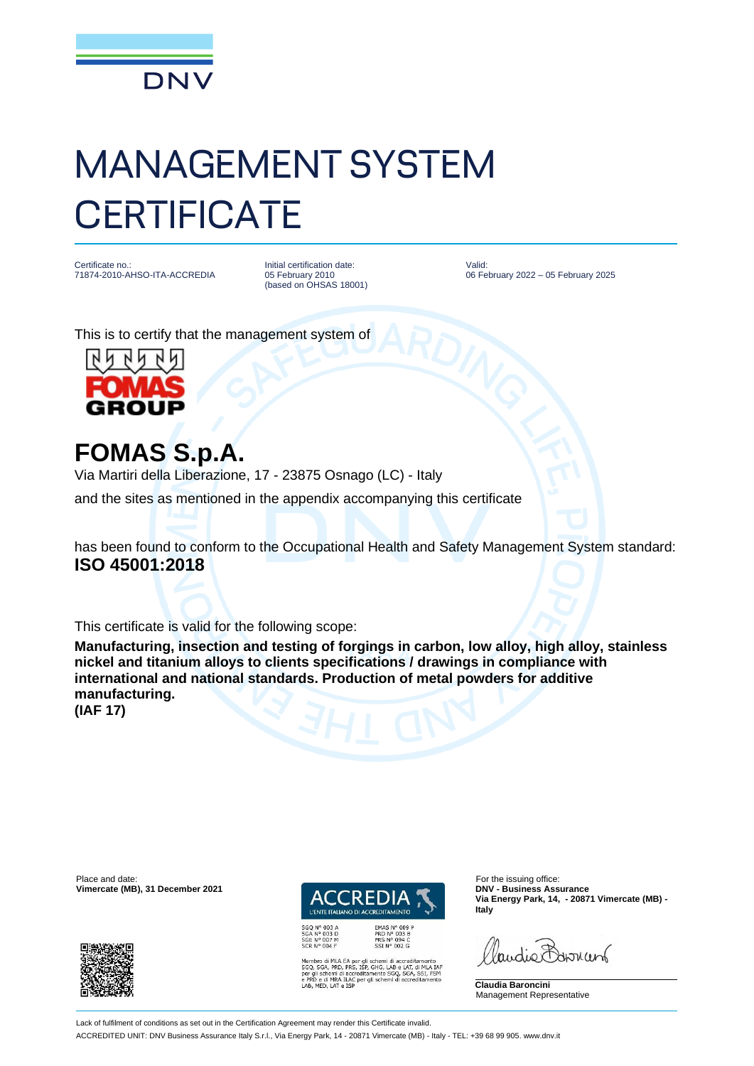

## MANAGEMENT SYSTEM **CERTIFICATE**

Certificate no.: 71874-2010-AHSO-ITA-ACCREDIA Initial certification date: 05 February 2010 (based on OHSAS 18001)

Valid: 06 February 2022 – 05 February 2025

This is to certify that the management system of



**FOMAS S.p.A.**

Via Martiri della Liberazione, 17 - 23875 Osnago (LC) - Italy

and the sites as mentioned in the appendix accompanying this certificate

has been found to conform to the Occupational Health and Safety Management System standard: **ISO 45001:2018**

This certificate is valid for the following scope:

**Manufacturing, insection and testing of forgings in carbon, low alloy, high alloy, stainless nickel and titanium alloys to clients specifications / drawings in compliance with international and national standards. Production of metal powders for additive manufacturing. (IAF 17)**

Place and date: For the issuing office:<br> **Place and date:** For the issuing office:<br> **Place and date:** For the issuing office:<br> **Place and date:** For the issuing office:





EMAS Nº 009 P<br>PRD Nº 003 B<br>PRS Nº 094 C<br>SSI Nº 002 G

o di MLA EA per gli schemi di accreditamento<br>GA, PRD, PRS, ISP, GHG, LAB e LAT, di MLA IAF<br>schemi di accreditamento SGQ, SGA, SSI, FSM<br>e di MRA ILAC per gli schemi di accreditamento<br>ED, LAT e ISP

**Via Energy Park, 14, - 20871 Vimercate (MB) - Italy**

landie Barnant

**Claudia Baroncini** Management Representative

Lack of fulfilment of conditions as set out in the Certification Agreement may render this Certificate invalid. ACCREDITED UNIT: DNV Business Assurance Italy S.r.l., Via Energy Park, 14 - 20871 Vimercate (MB) - Italy - TEL: +39 68 99 905. www.dnv.it